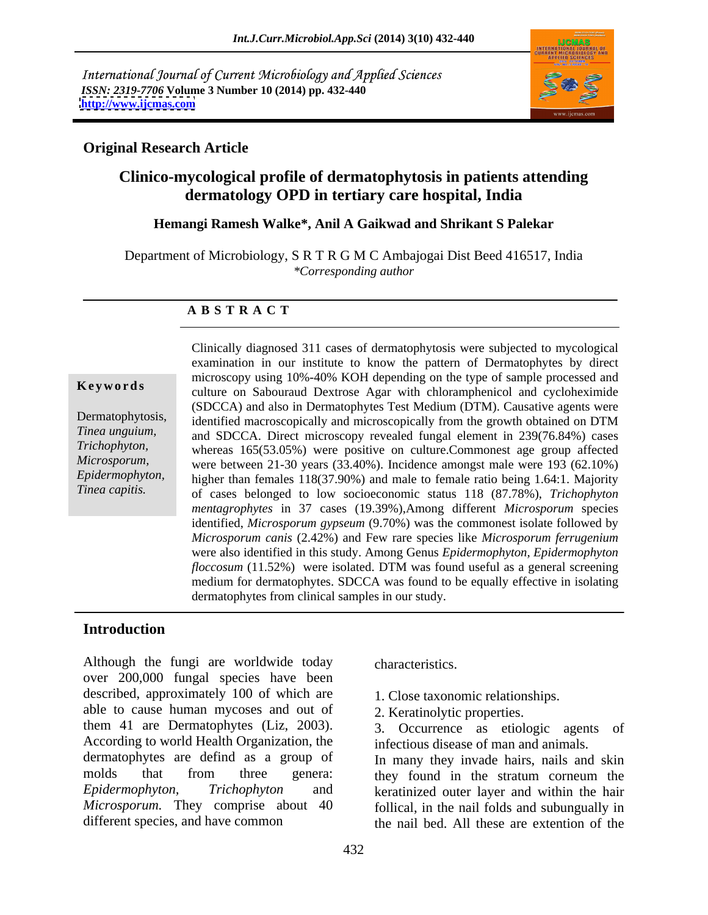International Journal of Current Microbiology and Applied Sciences *ISSN: 2319-7706* **Volume 3 Number 10 (2014) pp. 432-440 <http://www.ijcmas.com>**



## **Original Research Article**

# **Clinico-mycological profile of dermatophytosis in patients attending dermatology OPD in tertiary care hospital, India**

### **Hemangi Ramesh Walke\*, Anil A Gaikwad and Shrikant S Palekar**

Department of Microbiology, S R T R G M C Ambajogai Dist Beed 416517, India *\*Corresponding author* 

### **A B S T R A C T**

**Keywords**culture on Sabouraud Dextrose Agar with chloramphenicol and cycloheximide Dermatophytosis, identified macroscopically and microscopically from the growth obtained on DTM *Tinea unguium,* and SDCCA. Direct microscopy revealed fungal element in 239(76.84%) cases *Trichophyton,* whereas 165(53.05%) were positive on culture.Commonest age group affected *Microsporum*, were between 21-30 years (33.40%). Incidence amongst male were 193 (62.10%) *Epidermophyton,* higher than females 118(37.90%) and male to female ratio being 1.64:1. Majority *Tinea capitis.* of cases belonged to low socioeconomic status 118 (87.78%), *Trichophyton*  Clinically diagnosed 311 cases of dermatophytosis were subjected to mycological examination in our institute to know the pattern of Dermatophytes by direct microscopy using 10%-40% KOH depending on the type of sample processed and (SDCCA) and also in Dermatophytes Test Medium (DTM). Causative agents were *mentagrophytes* in 37 cases (19.39%),Among different *Microsporum* species identified, *Microsporum gypseum* (9.70%) was the commonest isolate followed by *Microsporum canis* (2.42%) and Few rare species like *Microsporum ferrugenium* were also identified in this study. Among Genus *Epidermophyton, Epidermophyton floccosum* (11.52%) were isolated. DTM was found useful as a general screening medium for dermatophytes. SDCCA was found to be equally effective in isolating dermatophytes from clinical samples in our study.

### **Introduction**

Although the fungi are worldwide today characteristics. over 200,000 fungal species have been described, approximately 100 of which are able to cause human mycoses and out of them 41 are Dermatophytes (Liz, 2003). 3. Occurrence as etiologic agents of According to world Health Organization, the infectious disease of man and animals. dermatophytes are defind as a group of In many they invade hairs, nails and skin molds that from three genera: they found in the stratum corneum the *Epidermophyton, Trichophyton* and keratinized outer layer and within the hair *Microsporum.* They comprise about 40

characteristics.

- 1. Close taxonomic relationships.
- 2. Keratinolytic properties.

3. Occurrence as etiologic agents of infectious disease of man and animals.

different species, and have common the nail bed. All these are extention of the follical, in the nail folds and subungually in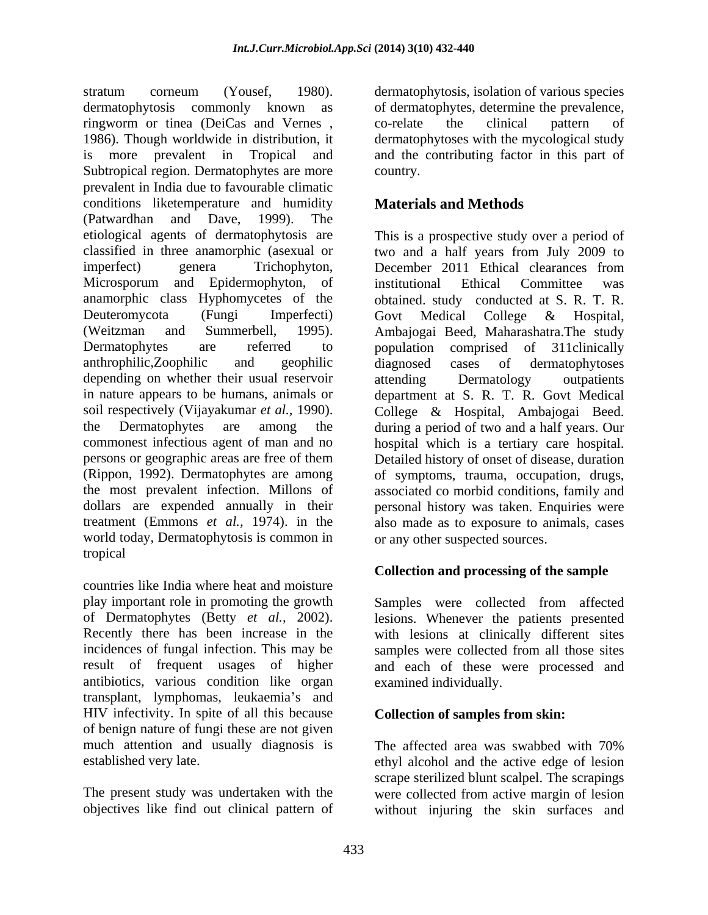stratum corneum (Yousef, 1980). dermatophytosis, isolation of various species<br>dermatophytosis commonly known as of dermatophytes, determine the prevalence, ringworm or tinea (DeiCas and Vernes , 1986). Though worldwide in distribution, it dermatophytoses with the mycological study is more prevalent in Tropical and and the contributing factor in this part of Subtropical region. Dermatophytes are more country. prevalent in India due to favourable climatic conditions liketemperature and humidity (Patwardhan and Dave, 1999). The etiological agents of dermatophytosis are classified in three anamorphic (asexual or two and a half years from July 2009 to imperfect) genera Trichophyton, December 2011 Ethical clearances from Microsporum and Epidermophyton, of anamorphic class Hyphomycetes of the Deuteromycota (Fungi Imperfecti) Govt Medical College & Hospital, (Weitzman and Summerbell, 1995). Ambajogai-Beed, Maharashatra. The study<br>Dermatophytes are referred to population comprised of 311clinically anthrophilic,Zoophilic and geophilic depending on whether their usual reservoir attending Dermatology outpatients in nature appears to be humans, animals or department at S. R. T. R. Govt Medical soil respectively (Vijayakumar *et al.,* 1990). College & Hospital, Ambajogai Beed. the Dermatophytes are among the during a period of two and a half years. Our commonest infectious agent of man and no hospital which is a tertiary care hospital. persons or geographic areas are free of them Detailed history of onset of disease, duration (Rippon, 1992). Dermatophytes are among of symptoms, trauma, occupation, drugs, the most prevalent infection. Millons of associated co morbid conditions, family and dollars are expended annually in their personal history was taken. Enquiries were treatment (Emmons *et al.,* 1974). in the also made as to exposure to animals, cases world today, Dermatophytosis is common in tropical

countries like India where heat and moisture play important role in promoting the growth Samples were collected from affected of Dermatophytes (Betty *et al.*, 2002). lesions. Whenever the patients presented Recently there has been increase in the with lesions at clinically different sites incidences of fungal infection. This may be samples were collected from all those sites result of frequent usages of higher and each of these were processed and antibiotics, various condition like organ transplant, lymphomas, leukaemia's and HIV infectivity. In spite of all this because of benign nature of fungi these are not given much attention and usually diagnosis is The affected area was swabbed with 70%

dermatophytosis, isolation of various species of dermatophytes, determine the prevalence, co-relate the clinical pattern of country.

# **Materials and Methods**

This is a prospective study over a period of December 2011 Ethical clearances from institutional Ethical Committee was obtained. study conducted at S. R. T. R. Govt Medical College & Hospital, Ambajogai Beed, Maharashatra.The study population comprised of 311clinically diagnosed cases of dermatophytoses attending Dermatology outpatients or any other suspected sources.

## **Collection and processing of the sample**

lesions. Whenever the patients presented with lesions at clinically different sites examined individually.

## **Collection of samples from skin:**

established very late. ethyl alcohol and the active edge of lesion The present study was undertaken with the were collected from active margin of lesion objectives like find out clinical pattern of without injuring the skin surfaces andThe affected area was swabbed with 70% scrape sterilized blunt scalpel. The scrapings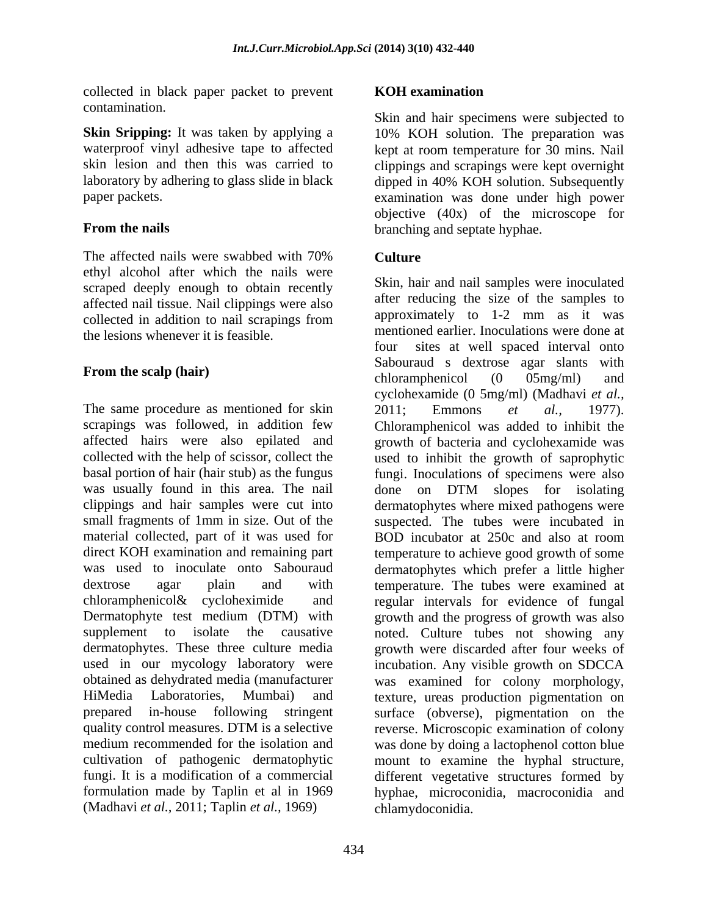collected in black paper packet to prevent **KOH** examination contamination.

The affected nails were swabbed with 70% Culture ethyl alcohol after which the nails were scraped deeply enough to obtain recently affected nail tissue. Nail clippings were also the lesions whenever it is feasible. The ment

The same procedure as mentioned for skin 2011; Emmons et al., 1977). scrapings was followed, in addition few Chloramphenicol was added to inhibit the was usually found in this area. The nail alone on DTM slopes for isolating material collected, part of it was used for BOD incubator at 250c and also at room (Madhavi *et al.,* 2011; Taplin *et al.,* 1969)

### **KOH examination**

**Skin Sripping:** It was taken by applying a 10% KOH solution. The preparation was waterproof vinyl adhesive tape to affected kept at room temperature for 30 mins. Nail skin lesion and then this was carried to clippings and scrapings were kept overnight laboratory by adhering to glass slide in black dipped in 40% KOH solution. Subsequently paper packets. examination was done under high power **From the nails branching and septate hyphae.** Skin and hair specimens were subjected to objective (40x) of the microscope for

## **Culture Culture**

collected in addition to nail scrapings from  $\frac{12}{12}$  mm as it was **From the scalp (hair)**<br>chloramphenicol (0 05mg/ml) and affected hairs were also epilated and growth of bacteria and cyclohexamide was collected with the help of scissor, collect the used to inhibit the growth of saprophytic basal portion of hair (hair stub) as the fungus fungi. Inoculations of specimens were also clippings and hair samples were cut into dermatophytes where mixed pathogens were small fragments of 1mm in size. Out of the suspected. The tubes were incubated in direct KOH examination and remaining part temperature to achieve good growth of some was used to inoculate onto Sabouraud dermatophytes which prefer a little higher dextrose agar plain and with temperature. The tubes were examined at chloramphenicol& cycloheximide and regular intervals for evidence of fungal Dermatophyte test medium (DTM) with growth and the progress of growth was also supplement to isolate the causative noted. Culture tubes not showing any dermatophytes. These three culture media growth were discarded after four weeks of used in our mycology laboratory were incubation. Any visible growth on SDCCA obtained as dehydrated media (manufacturer was examined for colony morphology, HiMedia Laboratories, Mumbai) and texture, ureas production pigmentation on prepared in-house following stringent surface (obverse), pigmentation on the quality control measures. DTM is a selective reverse. Microscopic examination of colony medium recommended for the isolation and was done by doing a lactophenol cotton blue cultivation of pathogenic dermatophytic mount to examine the hyphal structure, fungi. It is a modification of a commercial different vegetative structures formed by formulation made by Taplin et al in 1969 hyphae, microconidia, macroconidia and Skin, hair and nail samples were inoculated after reducing the size of the samples to approximately to 1-2 mm as it was mentioned earlier. Inoculations were done at sites at well spaced interval onto Sabouraud s dextrose agar slants with chloramphenicol (0 05mg/ml) and cyclohexamide (0 5mg/ml) (Madhavi *et al.,* 2011; Emmons *et al.,* 1977). Chloramphenicol was added to inhibit the done on DTM slopes for isolating BOD incubator at 250c and also at room chlamydoconidia.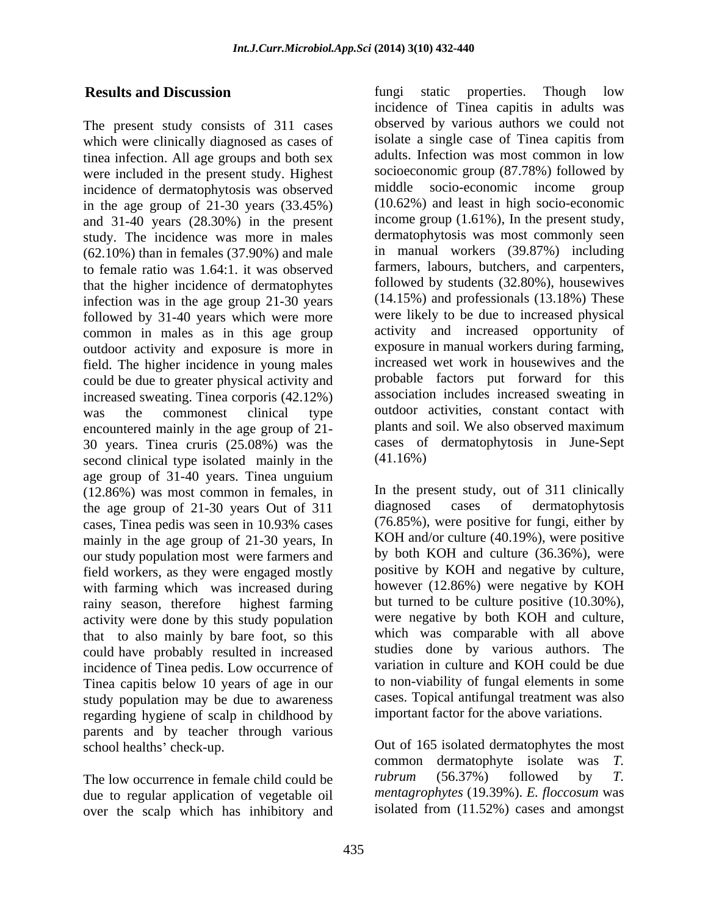The present study consists of 311 cases which were clinically diagnosed as cases of tinea infection. All age groups and both sex were included in the present study. Highest incidence of dermatophytosis was observed in the age group of  $21-30$  years  $(33.45%)$ and 31-40 years (28.30%) in the present study. The incidence was more in males (62.10%) than in females (37.90%) and male to female ratio was 1.64:1. it was observed that the higher incidence of dermatophytes infection was in the age group 21-30 years followed by 31-40 years which were more common in males as in this age group outdoor activity and exposure is more in field. The higher incidence in young males could be due to greater physical activity and increased sweating. Tinea corporis (42.12%) encountered mainly in the age group of 21- 30 years. Tinea cruris  $(25.08\%)$  was the cases of second clinical type isolated mainly in the  $(41.16\%)$ second clinical type isolated mainly in the age group of 31-40 years. Tinea unguium  $(12.86%)$  was most common in females, in The present study, out of 311 clinically<br>the age group of 21-30 years Out of 311 diagnosed cases of dermatophytosis the age group of 21-30 years Out of 311 cases, Tinea pedis was seen in 10.93% cases mainly in the age group of 21-30 years, In our study population most were farmers and field workers, as they were engaged mostly with farming which was increased during rainy season, therefore highest farming activity were done by this study population that to also mainly by bare foot, so this could have probably resulted in increased incidence of Tinea pedis. Low occurrence of Tinea capitis below 10 years of age in our study population may be due to awareness regarding hygiene of scalp in childhood by parents and by teacher through various

due to regular application of vegetable oil over the scalp which has inhibitory and

**Results and Discussion Example 2018 EXECUSE EXECUSE EXECUSE EXECUSE EXECUSE EXECUSE EXECUSE EXECUSE EXECUSE EXECUSE EXECUSE EXECUSE EXECUSE EXECUSE EXECUSE EXECUSE EXECUSE EXECUSE E** was the commonest clinical type outdoor activities, constant contact with fungi static properties. Though low incidence of Tinea capitis in adults was observed by various authors we could not isolate a single case of Tinea capitis from adults. Infection was most common in low socioeconomic group (87.78%) followed by middle socio-economic income group (10.62%) and least in high socio-economic income group (1.61%), In the present study, dermatophytosis was most commonly seen in manual workers (39.87%) including farmers, labours, butchers, and carpenters, followed by students (32.80%), housewives (14.15%) and professionals (13.18%) These were likely to be due to increased physical activity and increased opportunity of exposure in manual workers during farming, increased wet work in housewives and the probable factors put forward for this association includes increased sweating in plants and soil. We also observed maximum cases of dermatophytosis in June-Sept (41.16%)

> In the present study, out of 311 clinically diagnosed cases of dermatophytosis (76.85%), were positive for fungi, either by KOH and/or culture (40.19%), were positive by both KOH and culture (36.36%), were positive by KOH and negative by culture, however (12.86%) were negative by KOH but turned to be culture positive (10.30%), were negative by both KOH and culture, which was comparable with all above studies done by various authors. The variation in culture and KOH could be due to non-viability of fungal elements in some cases. Topical antifungal treatment was also important factor for the above variations.

school healths' check-up. Out of 165 isolated dermatophytes the most The low occurrence in female child could be  $\mu$  *rubrum* (56.37%) followed by *T*. common dermatophyte isolate was *T. rubrum* (56.37%) followed by *T. mentagrophytes* (19.39%). *E. floccosum* was isolated from (11.52%) cases and amongst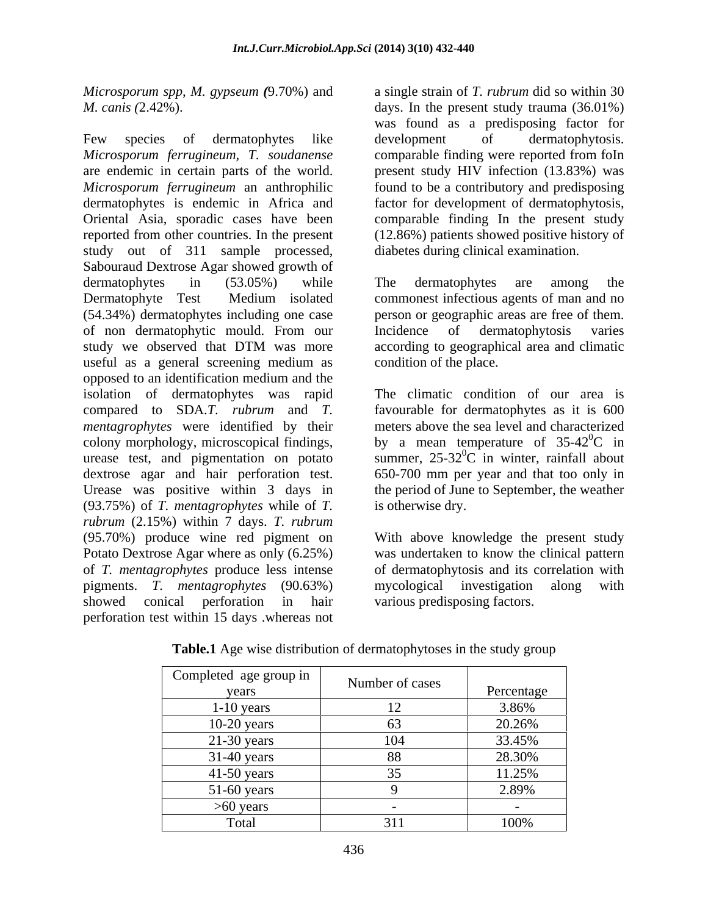*Microsporum spp, M. gypseum (*9.70%) and

Few species of dermatophytes like development of dermatophytosis. *Microsporum ferrugineum, T. soudanense* comparable finding were reported from foIn are endemic in certain parts of the world. present study HIV infection (13.83%) was *Microsporum ferrugineum* an anthrophilic found to be a contributory and predisposing dermatophytes is endemic in Africa and factor for development of dermatophytosis, Oriental Asia, sporadic cases have been comparable finding In the present study reported from other countries. In the present (12.86%) patients showed positive history of study out of 311 sample processed, Sabouraud Dextrose Agar showed growth of dermatophytes in (53.05%) while The dermatophytes are among the Dermatophyte Test Medium isolated commonest infectious agents of man and no (54.34%) dermatophytes including one case person or geographic areas are free of them. of non dermatophytic mould. From our study we observed that DTM was more according to geographical area and climatic useful as a general screening medium as opposed to an identification medium and the isolation of dermatophytes was rapid compared to SDA.*T. rubrum* and *T.*  favourable for dermatophytes as it is 600 *mentagrophytes* were identified by their meters above the sea level and characterized colony morphology, microscopical findings, urease test, and pigmentation on potato summer,  $25-32^0C$  in winter, rainfall about dextrose agar and hair perforation test. Urease was positive within 3 days in the period of June to September, the weather (93.75%) of *T. mentagrophytes* while of *T. rubrum* (2.15%) within 7 days. *T. rubrum* (95.70%) produce wine red pigment on With above knowledge the present study Potato Dextrose Agar where as only (6.25%) was undertaken to know the clinical pattern of *T. mentagrophytes* produce less intense of dermatophytosis and its correlation with pigments. *T. mentagrophytes* (90.63%) showed conical perforation in hair various predisposing factors. perforation test within 15 days .whereas not

*M. canis (*2.42%). days. In the present study trauma (36.01%) a single strain of *T. rubrum* did so within 30 was found as a predisposing factor for development of dermatophytosis. factor for development of dermatophytosis,<br>comparable finding In the present study diabetes during clinical examination.

> The dermatophytes are among the Incidence of dermatophytosis varies according to geographical area and climatic condition of the place.

The climatic condition of our area is by a mean temperature of  $35-42^{\circ}$ C in 650-700 mm per year and that too only in is otherwise dry.

mycological investigation along with

| Completed age group in<br>years | Number of cases | Percentage |
|---------------------------------|-----------------|------------|
| $1-10$ years                    |                 | 3.86%      |
| $10-20$ years                   |                 | 20.26%     |
| $21-30$ years                   | 104             | 33.45%     |
| 31-40 years                     |                 | 28.30%     |
| $41-50$ years                   |                 | 11.25%     |
| $51-60$ years                   |                 | 2.89%      |
| $>60$ years                     |                 |            |
| Total                           | 211             | 100%       |

**Table.1** Age wise distribution of dermatophytoses in the study group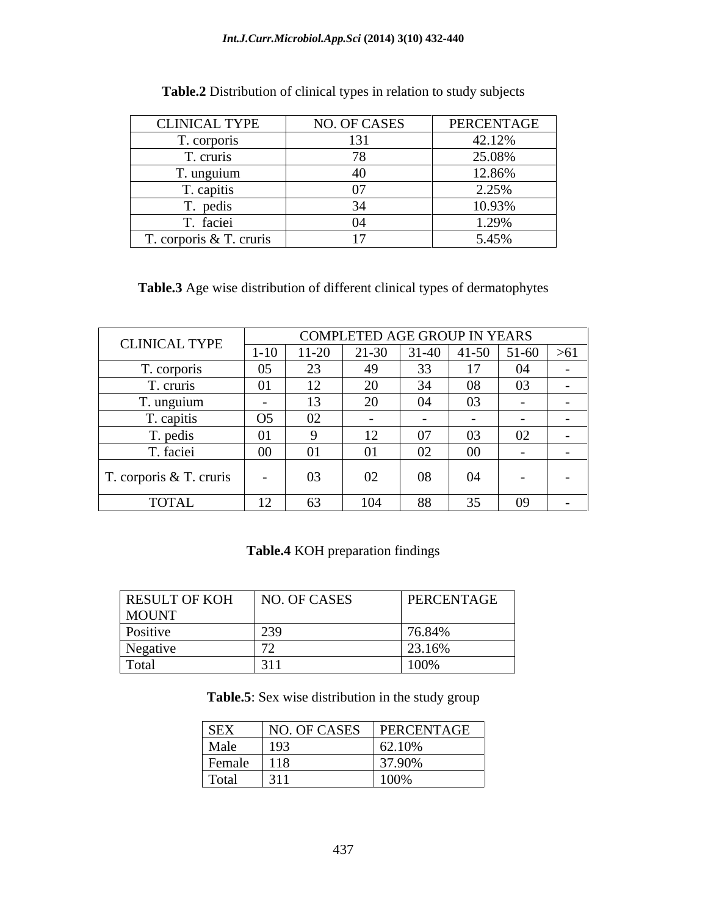### *Int.J.Curr.Microbiol.App.Sci* **(2014) 3(10) 432-440**

| <b>CLINICAL TYPE</b>    | NO. OF CASES          | PERCENTAGE |
|-------------------------|-----------------------|------------|
| T. corporis             |                       | 42.12%     |
| '. cruris               | ¬∩                    | 25.08%     |
| T. unguium              | $\Lambda$<br>$\tau U$ | 12.86%     |
| T. capitis              |                       | 2.25%      |
| r. pedis                |                       | 10.93%     |
| T. faciei               |                       | 1.29%      |
| T. corporis & T. cruris | 17                    | 5.45%      |

**Table.2** Distribution of clinical types in relation to study subjects

**Table.3** Age wise distribution of different clinical types of dermatophytes

| <b>CLINICAL TYPE</b>    |                |                 | COMPLETED AGE GROUP IN YEARS |              |                 |                |            |
|-------------------------|----------------|-----------------|------------------------------|--------------|-----------------|----------------|------------|
|                         | $1 - 10$       | $11 - 20$       | $21-30$                      |              | $31-40$ 41-50   | $ 51-60  > 61$ |            |
| T. corporis             | 05             | $\cap$          | 49                           | $\sim$<br>οэ | $\overline{ }$  | $\Omega$       |            |
| T. cruris               | 01             | $\overline{10}$ | $\Omega$<br>∠∪               |              | 08              | 03             |            |
| T. unguium              |                | $\overline{10}$ | $\Omega$                     | U4           | $\Omega$<br>UJ. |                |            |
| T. capitis              | O <sub>5</sub> | 02              |                              |              |                 |                |            |
| T. pedis                | 01             |                 | 12<br>$\perp$                | 07           | 03              | 02             |            |
| T. faciei               | $00\,$         | 01              | 01                           | 02           | $00\,$          |                |            |
| T. corporis & T. cruris |                | 03              | 02                           | 08           | 04              | $\sim$ $-$     | $\sim$ $-$ |
| <b>TOTAL</b>            | 12             | 63              | 104                          | 88           | 35              | 09             |            |

## **Table.4** KOH preparation findings

| <b>RESULT OF KOH</b> | NO. OF CASES | PERCENTAGE |
|----------------------|--------------|------------|
| <b>MOUNT</b>         |              |            |
| <i>Positive</i>      | ാറ           | 76.84%     |
| Negative             |              | 23.16%     |
| Total                | $\sqrt{244}$ | 10001      |

**Table.5**: Sex wise distribution in the study group

| <b>SEX</b>         | NO. OF CASES | PERCENTAGE |
|--------------------|--------------|------------|
| Male               | 193          | 62.10%     |
| Female             | 118          | 3790%      |
| <sup>1</sup> Total | 1311         | $100\%$    |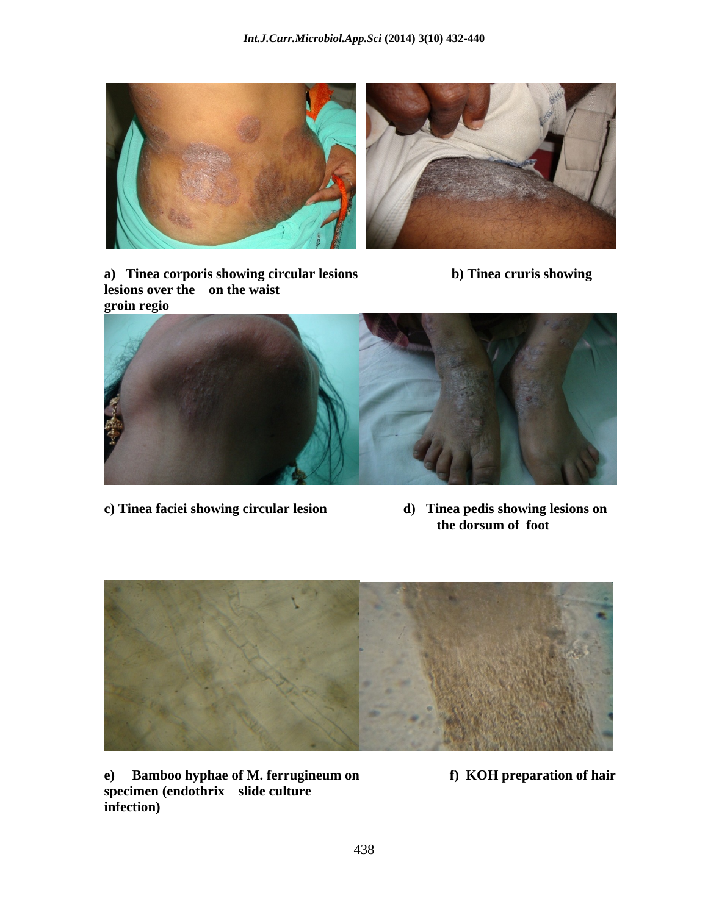







- 
- **c) Tinea faciei showing circular lesion d) Tinea pedis showing lesions on the dorsum of foot**



**specimen (endothrix slide culture infection)**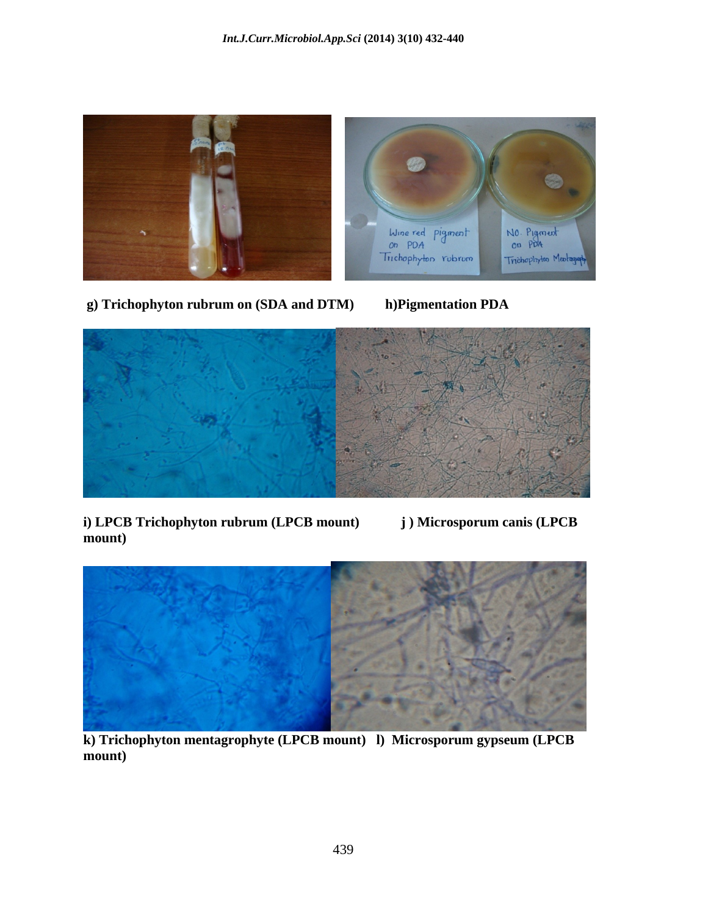

 **g) Trichophyton rubrum on (SDA and DTM) h)Pigmentation PDA**





**i) LPCB Trichophyton rubrum (LPCB mount) j ) Microsporum canis (LPCB mount)** 



**k) Trichophyton mentagrophyte (LPCB mount) l) Microsporum gypseum (LPCB mount)**